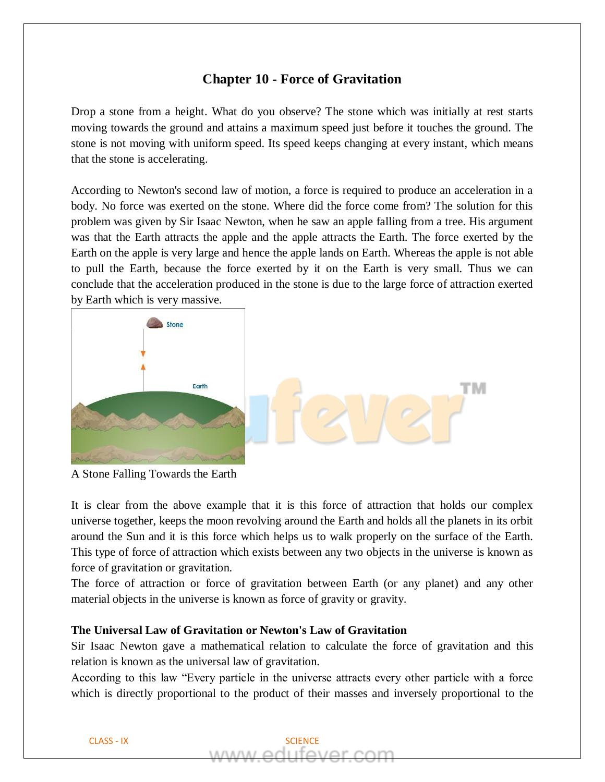# **Chapter 10 - Force of Gravitation**

Drop a stone from a height. What do you observe? The stone which was initially at rest starts moving towards the ground and attains a maximum speed just before it touches the ground. The stone is not moving with uniform speed. Its speed keeps changing at every instant, which means that the stone is accelerating.

According to Newton's second law of motion, a force is required to produce an acceleration in a body. No force was exerted on the stone. Where did the force come from? The solution for this problem was given by Sir Isaac Newton, when he saw an apple falling from a tree. His argument was that the Earth attracts the apple and the apple attracts the Earth. The force exerted by the Earth on the apple is very large and hence the apple lands on Earth. Whereas the apple is not able to pull the Earth, because the force exerted by it on the Earth is very small. Thus we can conclude that the acceleration produced in the stone is due to the large force of attraction exerted by Earth which is very massive.



A Stone Falling Towards the Earth

It is clear from the above example that it is this force of attraction that holds our complex universe together, keeps the moon revolving around the Earth and holds all the planets in its orbit around the Sun and it is this force which helps us to walk properly on the surface of the Earth. This type of force of attraction which exists between any two objects in the universe is known as force of gravitation or gravitation.

The force of attraction or force of gravitation between Earth (or any planet) and any other material objects in the universe is known as force of gravity or gravity.

### **The Universal Law of Gravitation or Newton's Law of Gravitation**

Sir Isaac Newton gave a mathematical relation to calculate the force of gravitation and this relation is known as the universal law of gravitation.

According to this law "Every particle in the universe attracts every other particle with a force which is directly proportional to the product of their masses and inversely proportional to the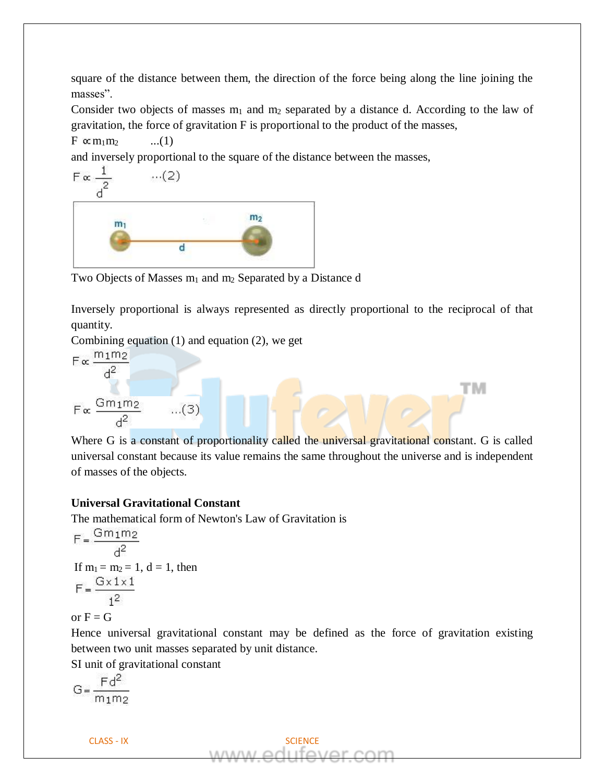square of the distance between them, the direction of the force being along the line joining the masses".

Consider two objects of masses  $m_1$  and  $m_2$  separated by a distance d. According to the law of gravitation, the force of gravitation F is proportional to the product of the masses,

 $F \propto m_1 m_2$  ...(1)

and inversely proportional to the square of the distance between the masses,

$$
F \propto \frac{1}{d^2} \qquad \dots (2)
$$
\n
$$
m_1
$$
\n
$$
m_2
$$
\n
$$
d
$$

Two Objects of Masses  $m_1$  and  $m_2$  Separated by a Distance d

Inversely proportional is always represented as directly proportional to the reciprocal of that quantity.

Combining equation (1) and equation (2), we get

$$
F \propto \frac{m_1 m_2}{d^2}
$$

$$
F \propto \frac{Gm_1m_2}{d^2} \qquad ...(3)
$$

Where G is a constant of proportionality called the universal gravitational constant. G is called universal constant because its value remains the same throughout the universe and is independent of masses of the objects.

тм

# **Universal Gravitational Constant**

The mathematical form of Newton's Law of Gravitation is

$$
F = \frac{Gm_1m_2}{d^2}
$$
  
If m<sub>1</sub> = m<sub>2</sub> = 1, d = 1, then  

$$
F = \frac{G \times 1 \times 1}{1^2}
$$

or  $F = G$ 

Hence universal gravitational constant may be defined as the force of gravitation existing between two unit masses separated by unit distance.

SI unit of gravitational constant

$$
G = \frac{Fd^2}{m_1m_2}
$$

CLASS - IX SCIENCE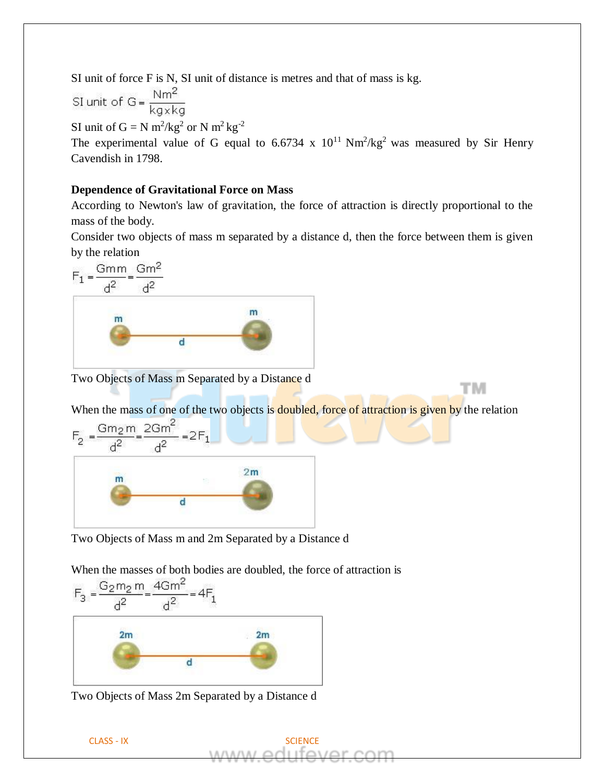SI unit of force F is N, SI unit of distance is metres and that of mass is kg.

SI unit of G = 
$$
\frac{Nm^2}{kg \times kg}
$$

SI unit of  $G = N m^2/kg^2$  or N  $m^2 kg^{-2}$ 

The experimental value of G equal to 6.6734 x  $10^{11}$  Nm<sup>2</sup>/kg<sup>2</sup> was measured by Sir Henry Cavendish in 1798.

## **Dependence of Gravitational Force on Mass**

According to Newton's law of gravitation, the force of attraction is directly proportional to the mass of the body.

Consider two objects of mass m separated by a distance d, then the force between them is given by the relation

$$
F_1 = \frac{Gmm}{d^2} = \frac{Gm^2}{d^2}
$$

Two Objects of Mass m Separated by a Distance d

When the mass of one of the two objects is doubled, force of attraction is given by the relation

тм



Two Objects of Mass m and 2m Separated by a Distance d



Two Objects of Mass 2m Separated by a Distance d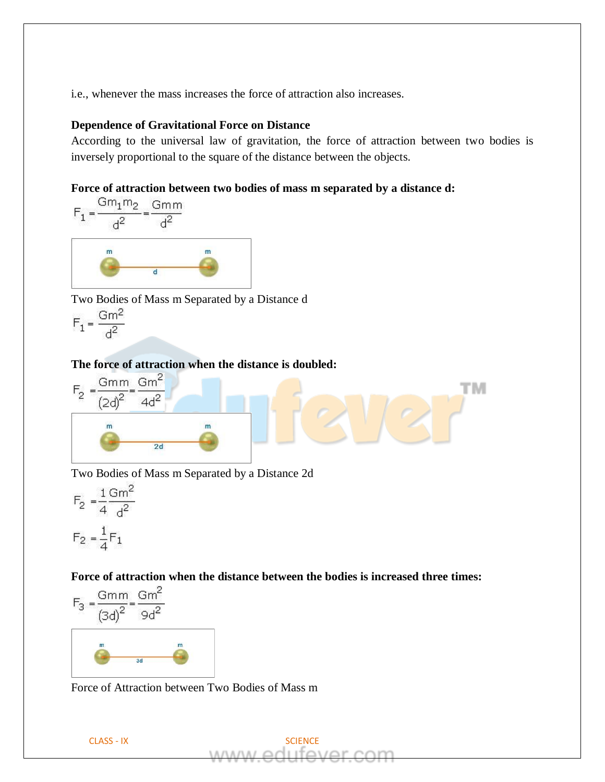i.e., whenever the mass increases the force of attraction also increases.

#### **Dependence of Gravitational Force on Distance**

According to the universal law of gravitation, the force of attraction between two bodies is inversely proportional to the square of the distance between the objects.

тм

#### **Force of attraction between two bodies of mass m separated by a distance d:**



Two Bodies of Mass m Separated by a Distance d

$$
F_1 = \frac{Gm^2}{d^2}
$$

# **The force of attraction when the distance is doubled:**



Two Bodies of Mass m Separated by a Distance 2d

$$
F_2 = \frac{1}{4} \frac{\text{Gm}^2}{d^2}
$$

$$
F_2 = \frac{1}{4} F_1
$$



Force of Attraction between Two Bodies of Mass m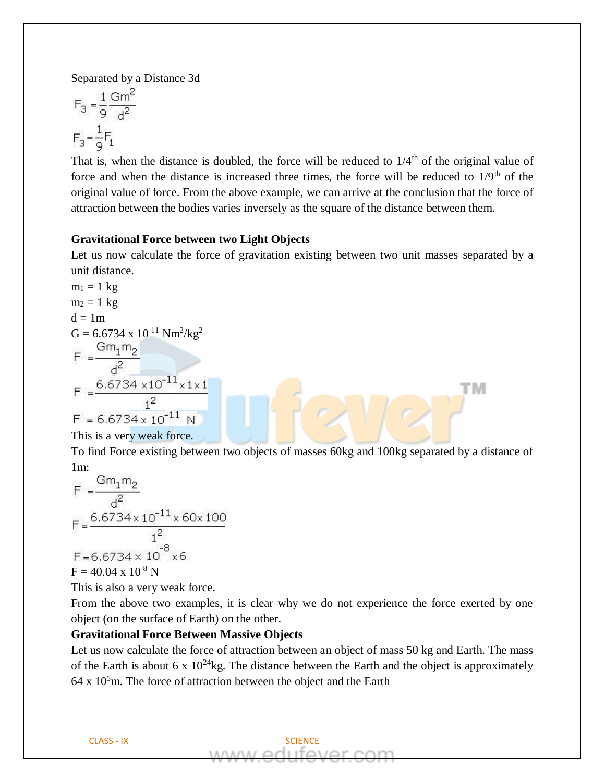Separated by a Distance 3d

$$
F_3 = \frac{1}{9} \frac{\text{Gm}^2}{\text{d}^2}
$$

$$
F_3 = \frac{1}{9} F_1
$$

That is, when the distance is doubled, the force will be reduced to  $1/4<sup>th</sup>$  of the original value of force and when the distance is increased three times, the force will be reduced to  $1/9<sup>th</sup>$  of the original value of force. From the above example, we can arrive at the conclusion that the force of attraction between the bodies varies inversely as the square of the distance between them.

#### **Gravitational Force between two Light Objects**

Let us now calculate the force of gravitation existing between two unit masses separated by a unit distance.

m<sub>1</sub> = 1 kg  
\nm<sub>2</sub> = 1 kg  
\nd = 1m  
\nG = 6.6734 x 10<sup>-11</sup> Nm<sup>2</sup>/kg<sup>2</sup>  
\nF = 
$$
\frac{Gm_1m_2}{d^2}
$$
\nF = 
$$
\frac{6.6734 \times 10^{-11} \times 1 \times 1}{1^2}
$$
\nF = 6.6734 x 10<sup>-11</sup> N

This is a very weak force.

To find Force existing between two objects of masses 60kg and 100kg separated by a distance of 1m:

TМ

$$
F = \frac{Gm_1m_2}{d^2}
$$
  
\n
$$
F = \frac{6.6734 \times 10^{-11} \times 60 \times 100}{1^2}
$$
  
\n
$$
F = 6.6734 \times 10^{-8} \times 6
$$
  
\n
$$
F = 40.04 \times 10^{-8} N
$$

This is also a very weak force.

From the above two examples, it is clear why we do not experience the force exerted by one object (on the surface of Earth) on the other.

### **Gravitational Force Between Massive Objects**

Let us now calculate the force of attraction between an object of mass 50 kg and Earth. The mass of the Earth is about 6 x  $10^{24}$ kg. The distance between the Earth and the object is approximately  $64 \times 10^5$ m. The force of attraction between the object and the Earth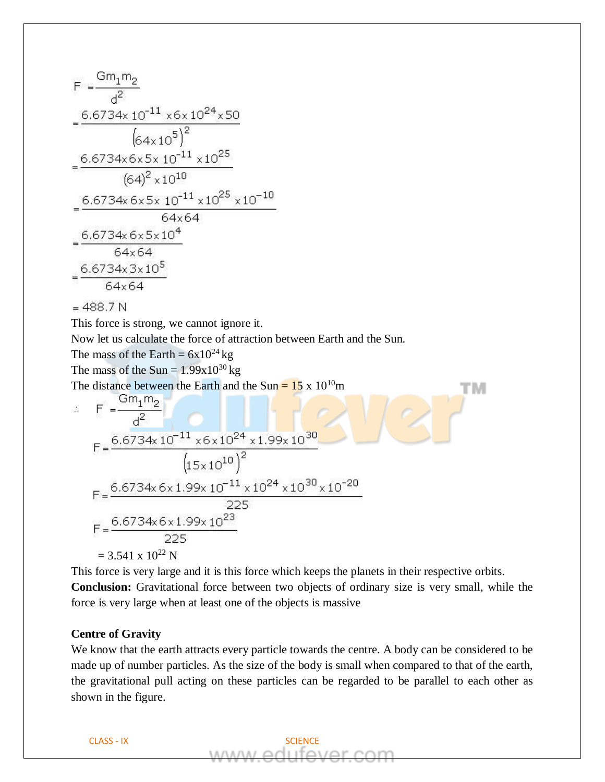$$
F = \frac{Gm_1m_2}{d^2}
$$
  
\n=  $\frac{6.6734 \times 10^{-11} \times 6 \times 10^{24} \times 50}{(64 \times 10^5)^2}$   
\n=  $\frac{6.6734 \times 6 \times 5 \times 10^{-11} \times 10^{25}}{(64)^2 \times 10^{10}}$   
\n=  $\frac{6.6734 \times 6 \times 5 \times 10^{-11} \times 10^{25} \times 10^{-10}}{64 \times 64}$   
\n=  $\frac{6.6734 \times 6 \times 5 \times 10^4}{64 \times 64}$   
\n=  $\frac{6.6734 \times 3 \times 10^5}{64 \times 64}$   
\n= 488.7 N  
\nThis force is strong, we cannot ignore it.  
\nThe mass of the Earth =  $6 \times 10^{24}$  kg  
\nThe distance between the Earth and the Sun =  $15 \times 10^{10}$ m  
\n $\therefore$  F =  $\frac{Gm_1m_2}{d^2}$   
\n=  $\frac{6.6734 \times 10^{-11} \times 6 \times 10^{24} \times 1.99 \times 10^{30}}{(15 \times 10^{10})^2}$   
\nF =  $\frac{6.6734 \times 6 \times 1.99 \times 10^{-11} \times 10^{24} \times 10^{30} \times 10^{-20}}{225}$   
\nF =  $\frac{6.6734 \times 6 \times 1.99 \times 10^{-11} \times 10^{24} \times 10^{30} \times 10^{-20}}{225}$   
\n=  $\frac{3.541 \times 10^{22} N}{225}$ 

This force is very large and it is this force which keeps the planets in their respective orbits. **Conclusion:** Gravitational force between two objects of ordinary size is very small, while the force is very large when at least one of the objects is massive

# **Centre of Gravity**

We know that the earth attracts every particle towards the centre. A body can be considered to be made up of number particles. As the size of the body is small when compared to that of the earth, the gravitational pull acting on these particles can be regarded to be parallel to each other as shown in the figure.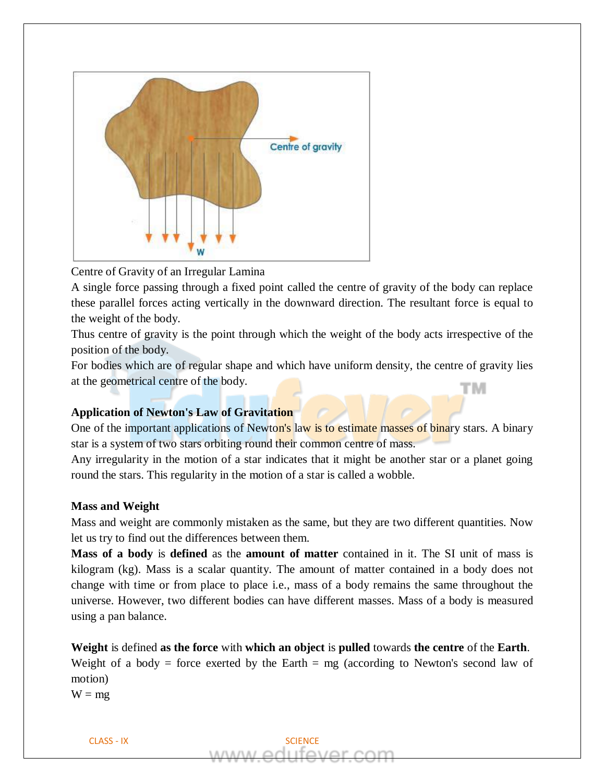

Centre of Gravity of an Irregular Lamina

A single force passing through a fixed point called the centre of gravity of the body can replace these parallel forces acting vertically in the downward direction. The resultant force is equal to the weight of the body.

Thus centre of gravity is the point through which the weight of the body acts irrespective of the position of the body.

For bodies which are of regular shape and which have uniform density, the centre of gravity lies at the geometrical centre of the body. тм

# **Application of Newton's Law of Gravitation**

One of the important applications of Newton's law is to estimate masses of binary stars. A binary star is a system of two stars orbiting round their common centre of mass.

Any irregularity in the motion of a star indicates that it might be another star or a planet going round the stars. This regularity in the motion of a star is called a wobble.

## **Mass and Weight**

Mass and weight are commonly mistaken as the same, but they are two different quantities. Now let us try to find out the differences between them.

**Mass of a body** is **defined** as the **amount of matter** contained in it. The SI unit of mass is kilogram (kg). Mass is a scalar quantity. The amount of matter contained in a body does not change with time or from place to place i.e., mass of a body remains the same throughout the universe. However, two different bodies can have different masses. Mass of a body is measured using a pan balance.

**Weight** is defined **as the force** with **which an object** is **pulled** towards **the centre** of the **Earth**. Weight of a body = force exerted by the Earth = mg (according to Newton's second law of motion)

 $W = mg$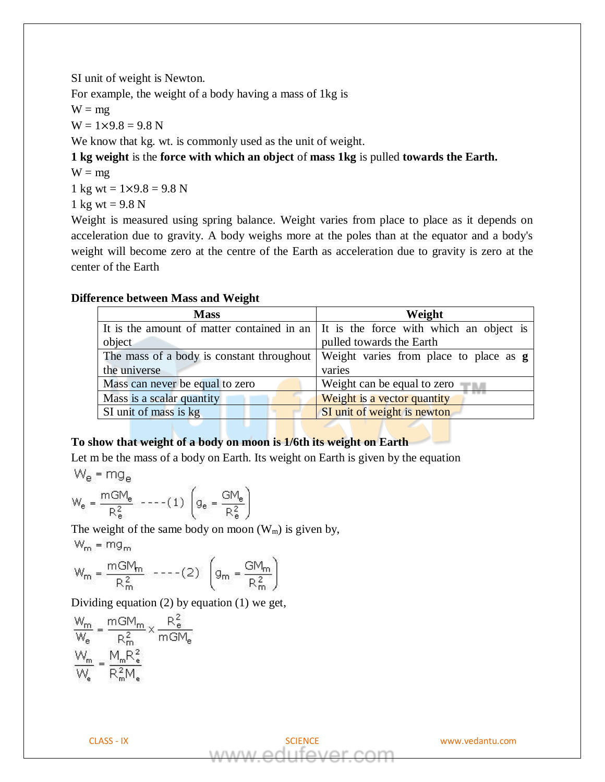SI unit of weight is Newton.

For example, the weight of a body having a mass of 1kg is

 $W = mg$ 

 $W = 1 \times 9.8 = 9.8$  N

We know that kg. wt. is commonly used as the unit of weight.

**1 kg weight** is the **force with which an object** of **mass 1kg** is pulled **towards the Earth.**

 $W = mg$ 

1 kg wt =  $1 \times 9.8 = 9.8$  N

1 kg wt =  $9.8 N$ 

Weight is measured using spring balance. Weight varies from place to place as it depends on acceleration due to gravity. A body weighs more at the poles than at the equator and a body's weight will become zero at the centre of the Earth as acceleration due to gravity is zero at the center of the Earth

## **Difference between Mass and Weight**

| <b>Mass</b>                                                                                | Weight                                        |
|--------------------------------------------------------------------------------------------|-----------------------------------------------|
| It is the amount of matter contained in an $\vert$ It is the force with which an object is |                                               |
| object                                                                                     | pulled towards the Earth                      |
| The mass of a body is constant throughout                                                  | Weight varies from place to place as <b>g</b> |
| the universe                                                                               | varies                                        |
| Mass can never be equal to zero                                                            | Weight can be equal to zero                   |
| Mass is a scalar quantity                                                                  | Weight is a vector quantity                   |
| SI unit of mass is kg                                                                      | SI unit of weight is newton                   |

# **To show that weight of a body on moon is 1/6th its weight on Earth**

Let m be the mass of a body on Earth. Its weight on Earth is given by the equation

$$
W_e = mg_e
$$

$$
W_e = \frac{mGM_e}{R_e^2} \quad \text{---(1)} \left( g_e = \frac{GM_e}{R_e^2} \right)
$$

The weight of the same body on moon  $(W_m)$  is given by,  $W_m = mg_m$ 

$$
W_m = \frac{mGM_m}{R_m^2} \quad \text{---}(2) \quad \left( g_m = \frac{GM_m}{R_m^2} \right)
$$

Dividing equation (2) by equation (1) we get,

$$
\frac{W_m}{W_e} = \frac{mGM_m}{R_m^2} \times \frac{R_e^2}{mGM_e}
$$

$$
\frac{W_m}{W_e} = \frac{M_mR_e^2}{R_m^2M_e}
$$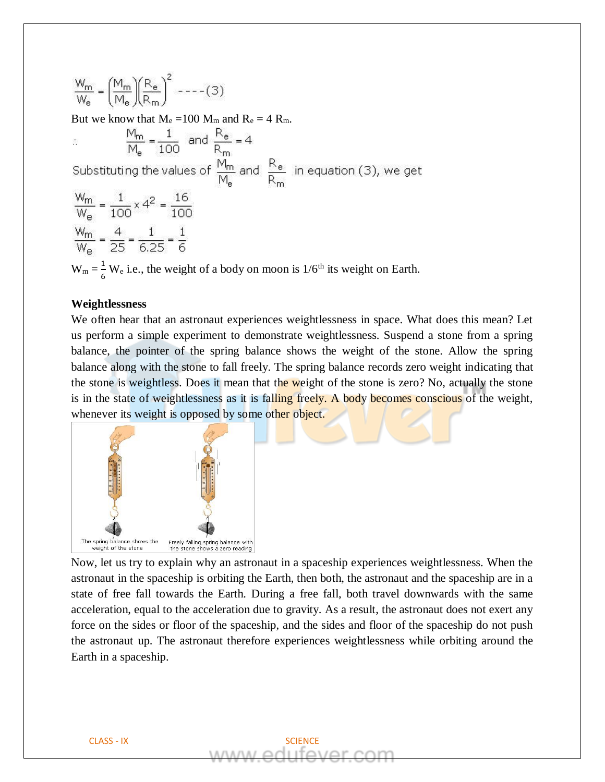$$
\frac{W_m}{W_e} = \left(\frac{M_m}{M_e}\right)\left(\frac{R_e}{R_m}\right)^2
$$
---(3)  
But we know that  $M_e$  =100 M<sub>m</sub> and  $R_e$  = 4 R<sub>m</sub>.  

$$
\frac{M_m}{M_e} = \frac{1}{100} \text{ and } \frac{R_e}{R_m} = 4
$$
  
Substituting the values of  $\frac{M_m}{M_e}$  and  $\frac{R_e}{R_m}$  in equation (3), we get  

$$
\frac{W_m}{W_e} = \frac{1}{100} \times 4^2 = \frac{16}{100}
$$

$$
\frac{W_m}{W_e} = \frac{4}{25} = \frac{1}{6,25} = \frac{1}{6}
$$

$$
W_m = \frac{4}{6} W_e
$$
 i.e., the weight of a body on moon is 1/6<sup>th</sup> its weight on Earth.

### **Weightlessness**

6

We often hear that an astronaut experiences weightlessness in space. What does this mean? Let us perform a simple experiment to demonstrate weightlessness. Suspend a stone from a spring balance, the pointer of the spring balance shows the weight of the stone. Allow the spring balance along with the stone to fall freely. The spring balance records zero weight indicating that the stone is weightless. Does it mean that the weight of the stone is zero? No, actually the stone is in the state of weightlessness as it is falling freely. A body becomes conscious of the weight, whenever its weight is opposed by some other object.



Now, let us try to explain why an astronaut in a spaceship experiences weightlessness. When the astronaut in the spaceship is orbiting the Earth, then both, the astronaut and the spaceship are in a state of free fall towards the Earth. During a free fall, both travel downwards with the same acceleration, equal to the acceleration due to gravity. As a result, the astronaut does not exert any force on the sides or floor of the spaceship, and the sides and floor of the spaceship do not push the astronaut up. The astronaut therefore experiences weightlessness while orbiting around the Earth in a spaceship.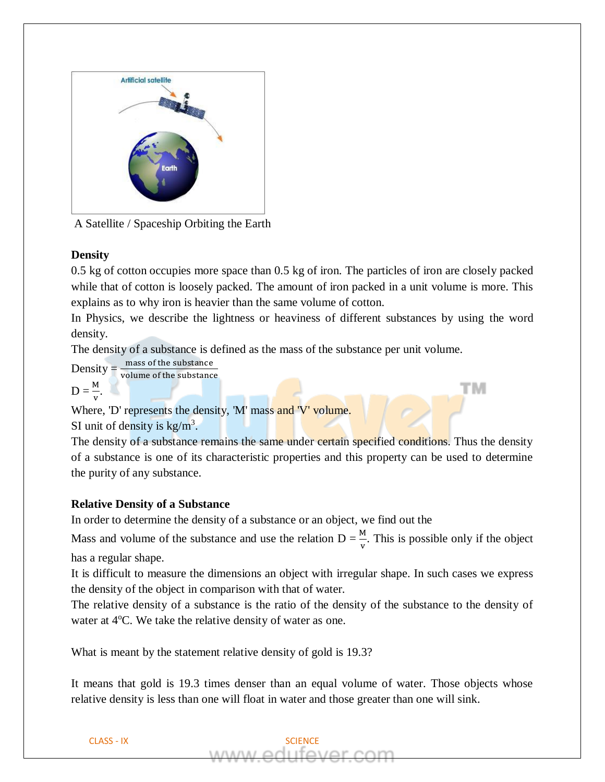

A Satellite / Spaceship Orbiting the Earth

# **Density**

0.5 kg of cotton occupies more space than 0.5 kg of iron. The particles of iron are closely packed while that of cotton is loosely packed. The amount of iron packed in a unit volume is more. This explains as to why iron is heavier than the same volume of cotton.

In Physics, we describe the lightness or heaviness of different substances by using the word density.

тм

The density of a substance is defined as the mass of the substance per unit volume.

 $Density = \frac{mass\ of\ the\ substance}{volume\ of\ the\ substance}$ 

$$
D=\frac{M}{v}.
$$

Where, 'D' represents the density, 'M' mass and 'V' volume.

SI unit of density is  $\text{kg/m}^3$ .

The density of a substance remains the same under certain specified conditions. Thus the density of a substance is one of its characteristic properties and this property can be used to determine the purity of any substance.

# **Relative Density of a Substance**

In order to determine the density of a substance or an object, we find out the

Mass and volume of the substance and use the relation  $D = \frac{M}{v}$ . This is possible only if the object has a regular shape.

It is difficult to measure the dimensions an object with irregular shape. In such cases we express the density of the object in comparison with that of water.

The relative density of a substance is the ratio of the density of the substance to the density of water at  $4^{\circ}$ C. We take the relative density of water as one.

What is meant by the statement relative density of gold is 19.3?

It means that gold is 19.3 times denser than an equal volume of water. Those objects whose relative density is less than one will float in water and those greater than one will sink.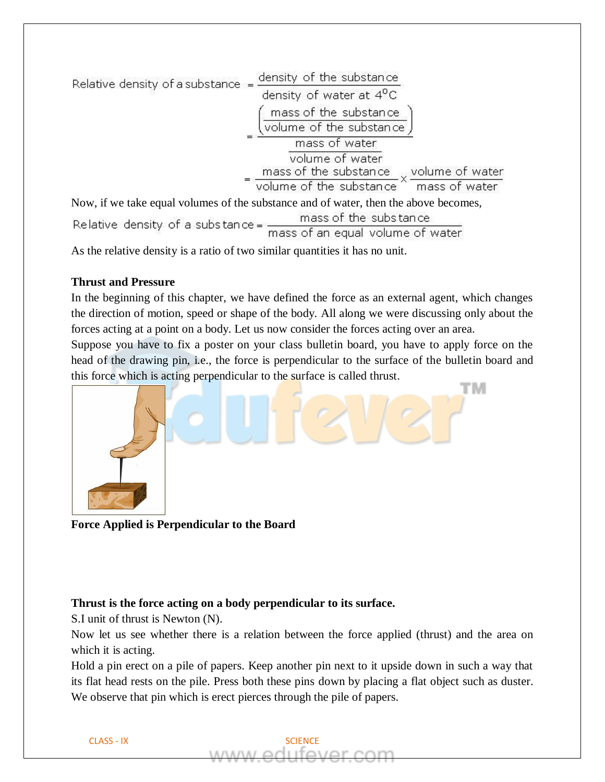| Relative density of a substance = | density of the substance                                                                                           |
|-----------------------------------|--------------------------------------------------------------------------------------------------------------------|
|                                   | density of water at 4 <sup>o</sup> C                                                                               |
|                                   | mass of the substance                                                                                              |
|                                   | volume of the substance                                                                                            |
|                                   | mass of water                                                                                                      |
|                                   | volume of water                                                                                                    |
|                                   | $\frac{m}{\text{w}}$ mass of the substance $\times$ volume of water volume of the substance $\times$ mass of water |
|                                   |                                                                                                                    |
|                                   | Now, if we take equal volumes of the substance and of water, then the above becomes,                               |
| Relative density of a substance = | mass of the substance                                                                                              |
|                                   | mass of an equal volume of water                                                                                   |

As the relative density is a ratio of two similar quantities it has no unit.

## **Thrust and Pressure**

In the beginning of this chapter, we have defined the force as an external agent, which changes the direction of motion, speed or shape of the body. All along we were discussing only about the forces acting at a point on a body. Let us now consider the forces acting over an area.

Suppose you have to fix a poster on your class bulletin board, you have to apply force on the head of the drawing pin, i.e., the force is perpendicular to the surface of the bulletin board and this force which is acting perpendicular to the surface is called thrust.



**Force Applied is Perpendicular to the Board**

# **Thrust is the force acting on a body perpendicular to its surface.**

S.I unit of thrust is Newton (N).

Now let us see whether there is a relation between the force applied (thrust) and the area on which it is acting.

Hold a pin erect on a pile of papers. Keep another pin next to it upside down in such a way that its flat head rests on the pile. Press both these pins down by placing a flat object such as duster. We observe that pin which is erect pierces through the pile of papers.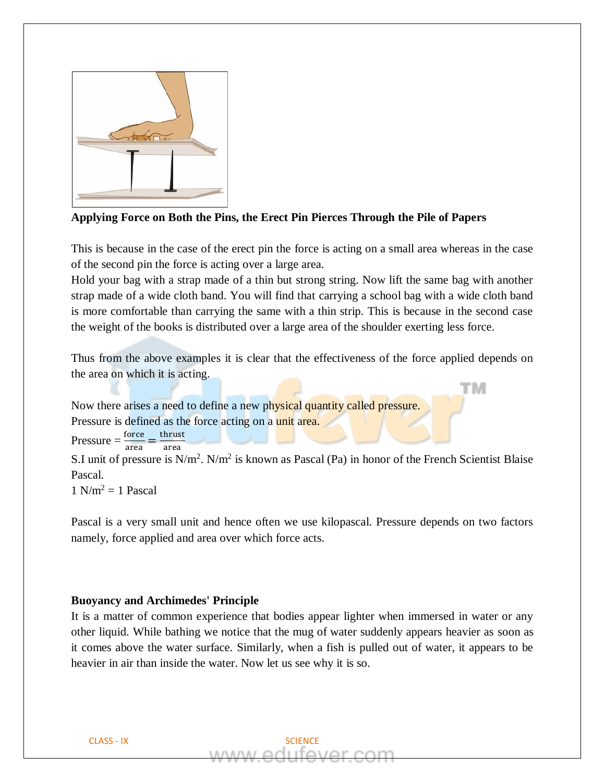

# **Applying Force on Both the Pins, the Erect Pin Pierces Through the Pile of Papers**

This is because in the case of the erect pin the force is acting on a small area whereas in the case of the second pin the force is acting over a large area.

Hold your bag with a strap made of a thin but strong string. Now lift the same bag with another strap made of a wide cloth band. You will find that carrying a school bag with a wide cloth band is more comfortable than carrying the same with a thin strip. This is because in the second case the weight of the books is distributed over a large area of the shoulder exerting less force.

Thus from the above examples it is clear that the effectiveness of the force applied depends on the area on which it is acting.

тм

Now there arises a need to define a new physical quantity called pressure. Pressure is defined as the force acting on a unit area.

 $Pressure = \frac{force}{\sqrt{2}}$ area  $=\frac{\text{thrust}}{\text{m}}$ area

S.I unit of pressure is  $N/m^2$ .  $N/m^2$  is known as Pascal (Pa) in honor of the French Scientist Blaise Pascal.

 $1 \text{ N/m}^2 = 1 \text{ Pascal}$ 

Pascal is a very small unit and hence often we use kilopascal. Pressure depends on two factors namely, force applied and area over which force acts.

## **Buoyancy and Archimedes' Principle**

It is a matter of common experience that bodies appear lighter when immersed in water or any other liquid. While bathing we notice that the mug of water suddenly appears heavier as soon as it comes above the water surface. Similarly, when a fish is pulled out of water, it appears to be heavier in air than inside the water. Now let us see why it is so.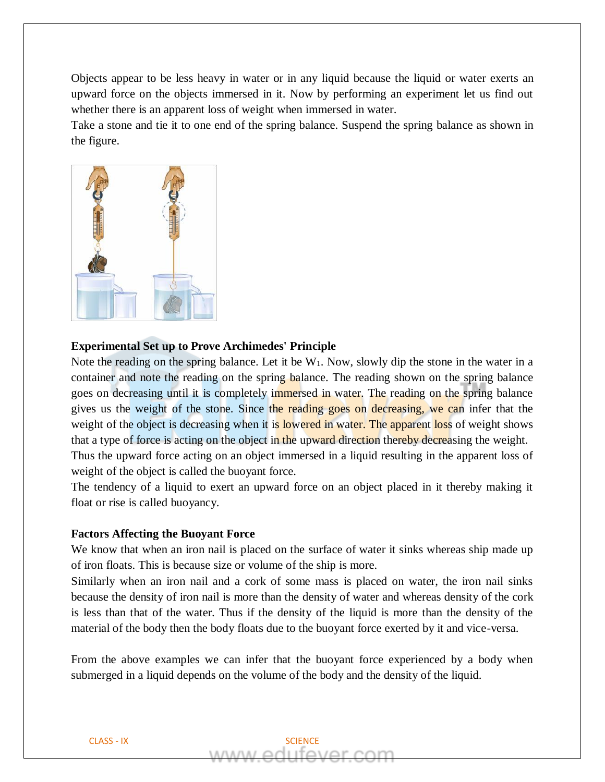Objects appear to be less heavy in water or in any liquid because the liquid or water exerts an upward force on the objects immersed in it. Now by performing an experiment let us find out whether there is an apparent loss of weight when immersed in water.

Take a stone and tie it to one end of the spring balance. Suspend the spring balance as shown in the figure.



#### **Experimental Set up to Prove Archimedes' Principle**

Note the reading on the spring balance. Let it be  $W_1$ . Now, slowly dip the stone in the water in a container and note the reading on the spring balance. The reading shown on the spring balance goes on decreasing until it is completely immersed in water. The reading on the spring balance gives us the weight of the stone. Since the reading goes on decreasing, we can infer that the weight of the object is decreasing when it is lowered in water. The apparent loss of weight shows that a type of force is acting on the object in the upward direction thereby decreasing the weight. Thus the upward force acting on an object immersed in a liquid resulting in the apparent loss of weight of the object is called the buoyant force.

The tendency of a liquid to exert an upward force on an object placed in it thereby making it float or rise is called buoyancy.

### **Factors Affecting the Buoyant Force**

We know that when an iron nail is placed on the surface of water it sinks whereas ship made up of iron floats. This is because size or volume of the ship is more.

Similarly when an iron nail and a cork of some mass is placed on water, the iron nail sinks because the density of iron nail is more than the density of water and whereas density of the cork is less than that of the water. Thus if the density of the liquid is more than the density of the material of the body then the body floats due to the buoyant force exerted by it and vice-versa.

From the above examples we can infer that the buoyant force experienced by a body when submerged in a liquid depends on the volume of the body and the density of the liquid.